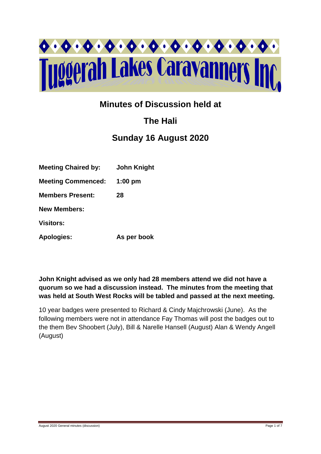

## **Minutes of Discussion held at**

# **The Hali**

## **Sunday 16 August 2020**

| <b>Meeting Chaired by:</b> | John Knight |
|----------------------------|-------------|
| <b>Meeting Commenced:</b>  | $1:00$ pm   |
| <b>Members Present:</b>    | 28          |
| <b>New Members:</b>        |             |
| <b>Visitors:</b>           |             |
| <b>Apologies:</b>          | As per book |

**John Knight advised as we only had 28 members attend we did not have a quorum so we had a discussion instead. The minutes from the meeting that was held at South West Rocks will be tabled and passed at the next meeting.** 

10 year badges were presented to Richard & Cindy Majchrowski (June). As the following members were not in attendance Fay Thomas will post the badges out to the them Bev Shoobert (July), Bill & Narelle Hansell (August) Alan & Wendy Angell (August)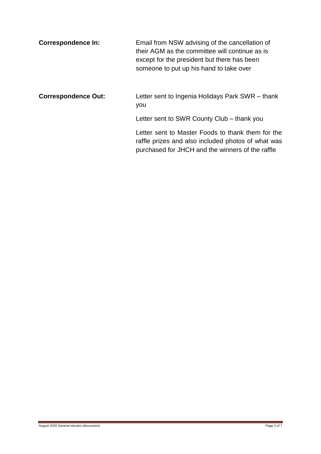| <b>Correspondence In:</b> | Email from NSW advising of the cancellation of<br>their AGM as the committee will continue as is |  |
|---------------------------|--------------------------------------------------------------------------------------------------|--|
|                           | except for the president but there has been<br>someone to put up his hand to take over           |  |

## **Correspondence Out:** Letter sent to Ingenia Holidays Park SWR – thank you

Letter sent to SWR County Club – thank you

Letter sent to Master Foods to thank them for the raffle prizes and also included photos of what was purchased for JHCH and the winners of the raffle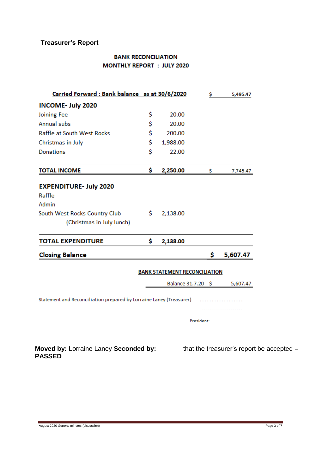## **Treasurer's Report**

### **BANK RECONCILIATION MONTHLY REPORT : JULY 2020**

| Carried Forward: Bank balance as at 30/6/2020                       |     |                                      | \$         | 5,495.47 |                                           |
|---------------------------------------------------------------------|-----|--------------------------------------|------------|----------|-------------------------------------------|
| <b>INCOME- July 2020</b>                                            |     |                                      |            |          |                                           |
| <b>Joining Fee</b>                                                  | \$  | 20.00                                |            |          |                                           |
| Annual subs                                                         | \$  | 20.00                                |            |          |                                           |
| Raffle at South West Rocks                                          | \$  | 200.00                               |            |          |                                           |
| Christmas in July                                                   | \$  | 1,988.00                             |            |          |                                           |
| <b>Donations</b>                                                    | Ś   | 22.00                                |            |          |                                           |
| <b>TOTAL INCOME</b>                                                 | \$  | 2,250.00                             | \$         | 7,745.47 |                                           |
| <b>EXPENDITURE- July 2020</b>                                       |     |                                      |            |          |                                           |
| Raffle                                                              |     |                                      |            |          |                                           |
| Admin                                                               |     |                                      |            |          |                                           |
| South West Rocks Country Club                                       | \$  | 2,138.00                             |            |          |                                           |
| (Christmas in July lunch)                                           |     |                                      |            |          |                                           |
| <b>TOTAL EXPENDITURE</b>                                            | \$. | 2,138.00                             |            |          |                                           |
| <b>Closing Balance</b>                                              |     |                                      | \$         | 5,607.47 |                                           |
|                                                                     |     | <b>BANK STATEMENT RECONCILIATION</b> |            |          |                                           |
|                                                                     |     | Balance 31.7.20 \$                   |            | 5,607.47 |                                           |
|                                                                     |     |                                      |            |          |                                           |
| Statement and Reconciliation prepared by Lorraine Laney (Treasurer) |     |                                      |            |          |                                           |
|                                                                     |     |                                      |            |          |                                           |
|                                                                     |     |                                      | President: |          |                                           |
|                                                                     |     |                                      |            |          |                                           |
| Moved by: Lorraine Laney Seconded by:<br><b>PASSED</b>              |     |                                      |            |          | that the treasurer's report be accepted - |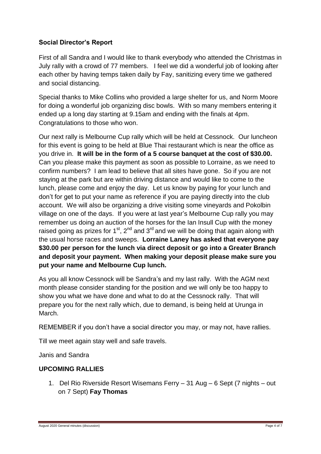### **Social Director's Report**

First of all Sandra and I would like to thank everybody who attended the Christmas in July rally with a crowd of 77 members. I feel we did a wonderful job of looking after each other by having temps taken daily by Fay, sanitizing every time we gathered and social distancing.

Special thanks to Mike Collins who provided a large shelter for us, and Norm Moore for doing a wonderful job organizing disc bowls. With so many members entering it ended up a long day starting at 9.15am and ending with the finals at 4pm. Congratulations to those who won.

Our next rally is Melbourne Cup rally which will be held at Cessnock. Our luncheon for this event is going to be held at Blue Thai restaurant which is near the office as you drive in. **It will be in the form of a 5 course banquet at the cost of \$30.00.** Can you please make this payment as soon as possible to Lorraine, as we need to confirm numbers? I am lead to believe that all sites have gone. So if you are not staying at the park but are within driving distance and would like to come to the lunch, please come and enjoy the day. Let us know by paying for your lunch and don't for get to put your name as reference if you are paying directly into the club account. We will also be organizing a drive visiting some vineyards and Pokolbin village on one of the days. If you were at last year's Melbourne Cup rally you may remember us doing an auction of the horses for the Ian Insull Cup with the money raised going as prizes for  $1<sup>st</sup>$ ,  $2<sup>nd</sup>$  and  $3<sup>rd</sup>$  and we will be doing that again along with the usual horse races and sweeps. **Lorraine Laney has asked that everyone pay \$30.00 per person for the lunch via direct deposit or go into a Greater Branch and deposit your payment. When making your deposit please make sure you put your name and Melbourne Cup lunch.**

As you all know Cessnock will be Sandra's and my last rally. With the AGM next month please consider standing for the position and we will only be too happy to show you what we have done and what to do at the Cessnock rally. That will prepare you for the next rally which, due to demand, is being held at Urunga in March.

REMEMBER if you don't have a social director you may, or may not, have rallies.

Till we meet again stay well and safe travels.

Janis and Sandra

### **UPCOMING RALLIES**

1. Del Rio Riverside Resort Wisemans Ferry – 31 Aug – 6 Sept (7 nights – out on 7 Sept) **Fay Thomas**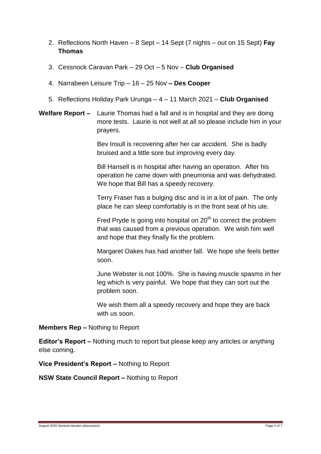- 2. Reflections North Haven 8 Sept 14 Sept (7 nights out on 15 Sept) **Fay Thomas**
- 3. Cessnock Caravan Park 29 Oct 5 Nov **Club Organised**
- 4. Narrabeen Leisure Trip 16 25 Nov **– Des Cooper**
- 5. Reflections Holiday Park Urunga 4 11 March 2021 **Club Organised**
- **Welfare Report –** Laurie Thomas had a fall and is in hospital and they are doing more tests. Laurie is not well at all so please include him in your prayers.

Bev Insull is recovering after her car accident. She is badly bruised and a little sore but improving every day.

Bill Hansell is in hospital after having an operation. After his operation he came down with pneumonia and was dehydrated. We hope that Bill has a speedy recovery.

Terry Fraser has a bulging disc and is in a lot of pain. The only place he can sleep comfortably is in the front seat of his ute.

Fred Pryde is going into hospital on  $20<sup>th</sup>$  to correct the problem that was caused from a previous operation. We wish him well and hope that they finally fix the problem.

Margaret Oakes has had another fall. We hope she feels better soon.

June Webster is not 100%. She is having muscle spasms in her leg which is very painful. We hope that they can sort out the problem soon.

We wish them all a speedy recovery and hope they are back with us soon.

**Members Rep –** Nothing to Report

**Editor's Report –** Nothing much to report but please keep any articles or anything else coming.

**Vice President's Report –** Nothing to Report

**NSW State Council Report –** Nothing to Report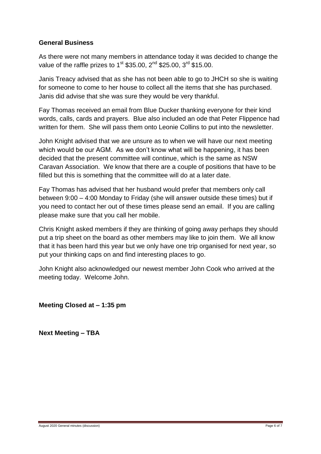#### **General Business**

As there were not many members in attendance today it was decided to change the value of the raffle prizes to 1<sup>st</sup> \$35.00, 2<sup>nd</sup> \$25.00, 3<sup>rd</sup> \$15.00.

Janis Treacy advised that as she has not been able to go to JHCH so she is waiting for someone to come to her house to collect all the items that she has purchased. Janis did advise that she was sure they would be very thankful.

Fay Thomas received an email from Blue Ducker thanking everyone for their kind words, calls, cards and prayers. Blue also included an ode that Peter Flippence had written for them. She will pass them onto Leonie Collins to put into the newsletter.

John Knight advised that we are unsure as to when we will have our next meeting which would be our AGM. As we don't know what will be happening, it has been decided that the present committee will continue, which is the same as NSW Caravan Association. We know that there are a couple of positions that have to be filled but this is something that the committee will do at a later date.

Fay Thomas has advised that her husband would prefer that members only call between 9:00 – 4:00 Monday to Friday (she will answer outside these times) but if you need to contact her out of these times please send an email. If you are calling please make sure that you call her mobile.

Chris Knight asked members if they are thinking of going away perhaps they should put a trip sheet on the board as other members may like to join them. We all know that it has been hard this year but we only have one trip organised for next year, so put your thinking caps on and find interesting places to go.

John Knight also acknowledged our newest member John Cook who arrived at the meeting today. Welcome John.

**Meeting Closed at – 1:35 pm**

**Next Meeting – TBA**